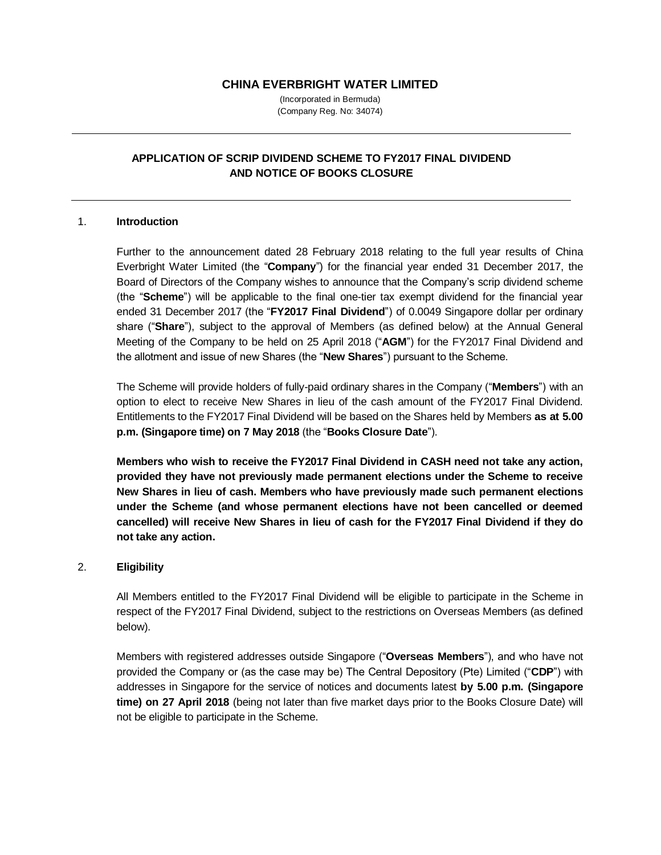#### **CHINA EVERBRIGHT WATER LIMITED**

(Incorporated in Bermuda) (Company Reg. No: 34074)

# **APPLICATION OF SCRIP DIVIDEND SCHEME TO FY2017 FINAL DIVIDEND AND NOTICE OF BOOKS CLOSURE**

#### 1. **Introduction**

Further to the announcement dated 28 February 2018 relating to the full year results of China Everbright Water Limited (the "**Company**") for the financial year ended 31 December 2017, the Board of Directors of the Company wishes to announce that the Company's scrip dividend scheme (the "**Scheme**") will be applicable to the final one-tier tax exempt dividend for the financial year ended 31 December 2017 (the "**FY2017 Final Dividend**") of 0.0049 Singapore dollar per ordinary share ("**Share**"), subject to the approval of Members (as defined below) at the Annual General Meeting of the Company to be held on 25 April 2018 ("**AGM**") for the FY2017 Final Dividend and the allotment and issue of new Shares (the "**New Shares**") pursuant to the Scheme.

The Scheme will provide holders of fully-paid ordinary shares in the Company ("**Members**") with an option to elect to receive New Shares in lieu of the cash amount of the FY2017 Final Dividend. Entitlements to the FY2017 Final Dividend will be based on the Shares held by Members **as at 5.00 p.m. (Singapore time) on 7 May 2018** (the "**Books Closure Date**").

**Members who wish to receive the FY2017 Final Dividend in CASH need not take any action, provided they have not previously made permanent elections under the Scheme to receive New Shares in lieu of cash. Members who have previously made such permanent elections under the Scheme (and whose permanent elections have not been cancelled or deemed cancelled) will receive New Shares in lieu of cash for the FY2017 Final Dividend if they do not take any action.**

#### 2. **Eligibility**

All Members entitled to the FY2017 Final Dividend will be eligible to participate in the Scheme in respect of the FY2017 Final Dividend, subject to the restrictions on Overseas Members (as defined below).

Members with registered addresses outside Singapore ("**Overseas Members**"), and who have not provided the Company or (as the case may be) The Central Depository (Pte) Limited ("**CDP**") with addresses in Singapore for the service of notices and documents latest **by 5.00 p.m. (Singapore time) on 27 April 2018** (being not later than five market days prior to the Books Closure Date) will not be eligible to participate in the Scheme.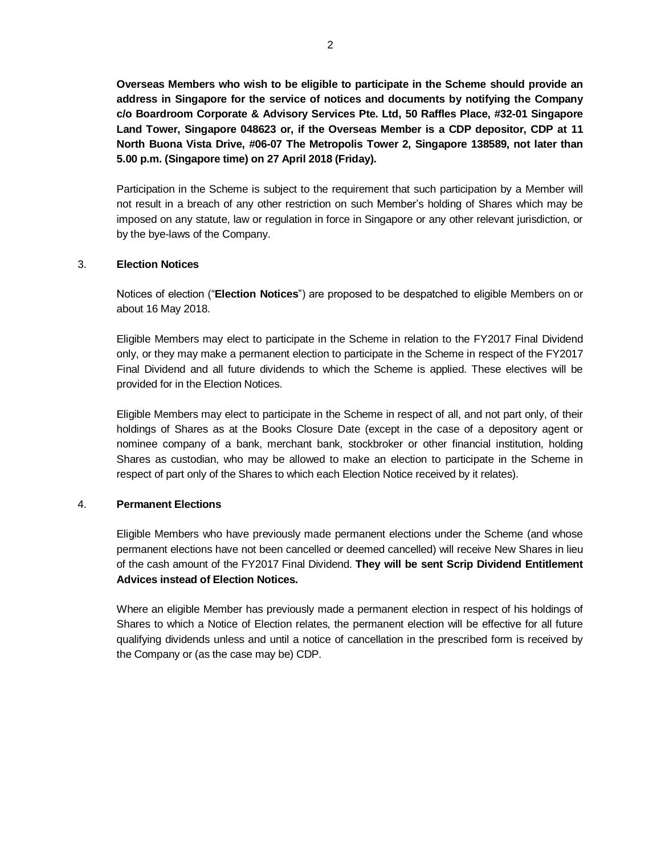**Overseas Members who wish to be eligible to participate in the Scheme should provide an address in Singapore for the service of notices and documents by notifying the Company c/o Boardroom Corporate & Advisory Services Pte. Ltd, 50 Raffles Place, #32-01 Singapore Land Tower, Singapore 048623 or, if the Overseas Member is a CDP depositor, CDP at 11 North Buona Vista Drive, #06-07 The Metropolis Tower 2, Singapore 138589, not later than 5.00 p.m. (Singapore time) on 27 April 2018 (Friday).** 

Participation in the Scheme is subject to the requirement that such participation by a Member will not result in a breach of any other restriction on such Member's holding of Shares which may be imposed on any statute, law or regulation in force in Singapore or any other relevant jurisdiction, or by the bye-laws of the Company.

## 3. **Election Notices**

Notices of election ("**Election Notices**") are proposed to be despatched to eligible Members on or about 16 May 2018.

Eligible Members may elect to participate in the Scheme in relation to the FY2017 Final Dividend only, or they may make a permanent election to participate in the Scheme in respect of the FY2017 Final Dividend and all future dividends to which the Scheme is applied. These electives will be provided for in the Election Notices.

Eligible Members may elect to participate in the Scheme in respect of all, and not part only, of their holdings of Shares as at the Books Closure Date (except in the case of a depository agent or nominee company of a bank, merchant bank, stockbroker or other financial institution, holding Shares as custodian, who may be allowed to make an election to participate in the Scheme in respect of part only of the Shares to which each Election Notice received by it relates).

#### 4. **Permanent Elections**

Eligible Members who have previously made permanent elections under the Scheme (and whose permanent elections have not been cancelled or deemed cancelled) will receive New Shares in lieu of the cash amount of the FY2017 Final Dividend. **They will be sent Scrip Dividend Entitlement Advices instead of Election Notices.**

Where an eligible Member has previously made a permanent election in respect of his holdings of Shares to which a Notice of Election relates, the permanent election will be effective for all future qualifying dividends unless and until a notice of cancellation in the prescribed form is received by the Company or (as the case may be) CDP.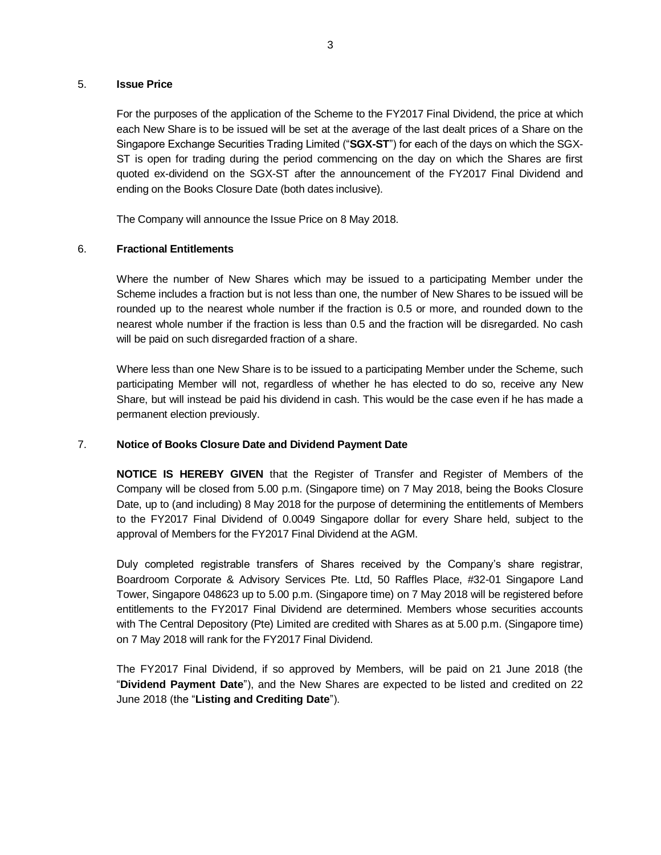#### 5. **Issue Price**

For the purposes of the application of the Scheme to the FY2017 Final Dividend, the price at which each New Share is to be issued will be set at the average of the last dealt prices of a Share on the Singapore Exchange Securities Trading Limited ("**SGX-ST**") for each of the days on which the SGX-ST is open for trading during the period commencing on the day on which the Shares are first quoted ex-dividend on the SGX-ST after the announcement of the FY2017 Final Dividend and ending on the Books Closure Date (both dates inclusive).

The Company will announce the Issue Price on 8 May 2018.

## 6. **Fractional Entitlements**

Where the number of New Shares which may be issued to a participating Member under the Scheme includes a fraction but is not less than one, the number of New Shares to be issued will be rounded up to the nearest whole number if the fraction is 0.5 or more, and rounded down to the nearest whole number if the fraction is less than 0.5 and the fraction will be disregarded. No cash will be paid on such disregarded fraction of a share.

Where less than one New Share is to be issued to a participating Member under the Scheme, such participating Member will not, regardless of whether he has elected to do so, receive any New Share, but will instead be paid his dividend in cash. This would be the case even if he has made a permanent election previously.

#### 7. **Notice of Books Closure Date and Dividend Payment Date**

**NOTICE IS HEREBY GIVEN** that the Register of Transfer and Register of Members of the Company will be closed from 5.00 p.m. (Singapore time) on 7 May 2018, being the Books Closure Date, up to (and including) 8 May 2018 for the purpose of determining the entitlements of Members to the FY2017 Final Dividend of 0.0049 Singapore dollar for every Share held, subject to the approval of Members for the FY2017 Final Dividend at the AGM.

Duly completed registrable transfers of Shares received by the Company's share registrar, Boardroom Corporate & Advisory Services Pte. Ltd, 50 Raffles Place, #32-01 Singapore Land Tower, Singapore 048623 up to 5.00 p.m. (Singapore time) on 7 May 2018 will be registered before entitlements to the FY2017 Final Dividend are determined. Members whose securities accounts with The Central Depository (Pte) Limited are credited with Shares as at 5.00 p.m. (Singapore time) on 7 May 2018 will rank for the FY2017 Final Dividend.

The FY2017 Final Dividend, if so approved by Members, will be paid on 21 June 2018 (the "**Dividend Payment Date**"), and the New Shares are expected to be listed and credited on 22 June 2018 (the "**Listing and Crediting Date**").